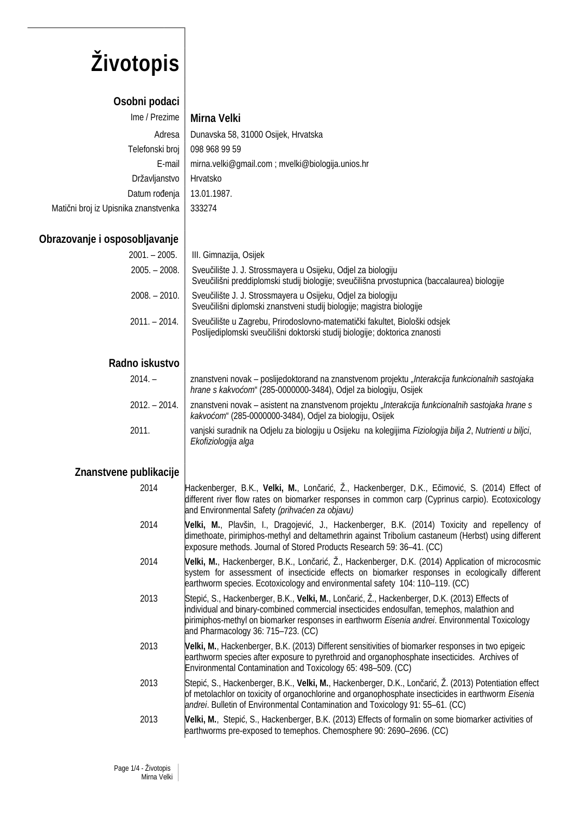# **Životopis**

### **Osobni podaci**

|                                      | Ime / Prezime   Mirna Velki                      |
|--------------------------------------|--------------------------------------------------|
| Adresa                               | Dunavska 58, 31000 Osijek, Hrvatska              |
| Telefonski broj                      | 098 968 99 59                                    |
| E-mail                               | mirna.velki@gmail.com; mvelki@biologija.unios.hr |
| Državljanstvo                        | Hrvatsko                                         |
| Datum rođenja                        | 13.01.1987.                                      |
| Matični broj iz Upisnika znanstvenka | 333274                                           |

#### **Obrazovanje i osposobljavanje**

| 2001. – 2005.   | III. Gimnazija, Osijek                                                                                                                                       |
|-----------------|--------------------------------------------------------------------------------------------------------------------------------------------------------------|
| $2005. - 2008.$ | Sveučilište J. J. Strossmayera u Osijeku, Odjel za biologiju<br>Sveučilišni preddiplomski studij biologije; sveučilišna prvostupnica (baccalaurea) biologije |
| $2008. - 2010.$ | Sveučilište J. J. Strossmayera u Osijeku, Odjel za biologiju<br>Sveučilišni diplomski znanstveni studij biologije; magistra biologije                        |
| $2011 - 2014$ . | Sveučilište u Zagrebu, Prirodoslovno-matematički fakultet, Biološki odsjek<br>Poslijediplomski sveučilišni doktorski studij biologije; doktorica znanosti    |

#### **Radno iskustvo**

| $2014. -$       | znanstveni novak – poslijedoktorand na znanstvenom projektu "Interakcija funkcionalnih sastojaka<br>hrane s kakvoćom" (285-0000000-3484), Odjel za biologiju, Osijek |
|-----------------|----------------------------------------------------------------------------------------------------------------------------------------------------------------------|
| $2012. - 2014.$ | znanstveni novak – asistent na znanstvenom projektu "Interakcija funkcionalnih sastojaka hrane s<br>kakvoćom" (285-0000000-3484), Odjel za biologiju, Osijek         |
| 2011.           | vanjski suradnik na Odjelu za biologiju u Osijeku na kolegijima Fiziologija bilja 2, Nutrienti u biljci,<br>Ekofiziologija alga                                      |

#### **Znanstvene publikacije**

| 2014 | Hackenberger, B.K., Velki, M., Lončarić, Ž., Hackenberger, D.K., Ečimović, S. (2014) Effect of    |
|------|---------------------------------------------------------------------------------------------------|
|      | different river flow rates on biomarker responses in common carp (Cyprinus carpio). Ecotoxicology |
|      | and Environmental Safety (prihvaćen za objavu)                                                    |

- 2014 **Velki, M.**, Plavšin, I., Dragojević, J., Hackenberger, B.K. (2014) Toxicity and repellency of dimethoate, pirimiphos-methyl and deltamethrin against Tribolium castaneum (Herbst) using different exposure methods. Journal of Stored Products Research 59: 36–41. (CC)
- 2014 **Velki, M.**, Hackenberger, B.K., Lončarić, Ž., Hackenberger, D.K. (2014) Application of microcosmic system for assessment of insecticide effects on biomarker responses in ecologically different earthworm species. Ecotoxicology and environmental safety 104: 110–119. (CC)
- 2013 Stepić, S., Hackenberger, B.K., **Velki, M.**, Lončarić, Ž., Hackenberger, D.K. (2013) Effects of individual and binary-combined commercial insecticides endosulfan, temephos, malathion and pirimiphos-methyl on biomarker responses in earthworm *Eisenia andrei*. Environmental Toxicology and Pharmacology 36: 715–723. (CC)
- 2013 **Velki, M.**, Hackenberger, B.K. (2013) Different sensitivities of biomarker responses in two epigeic earthworm species after exposure to pyrethroid and organophosphate insecticides. Archives of Environmental Contamination and Toxicology 65: 498–509. (CC)
- 2013 Stepić, S., Hackenberger, B.K., **Velki, M.**, Hackenberger, D.K., Lončarić, Ž. (2013) Potentiation effect of metolachlor on toxicity of organochlorine and organophosphate insecticides in earthworm *Eisenia andrei*. Bulletin of Environmental Contamination and Toxicology 91: 55–61. (CC)
- 2013 **Velki, M.**, Stepić, S., Hackenberger, B.K. (2013) Effects of formalin on some biomarker activities of earthworms pre-exposed to temephos. Chemosphere 90: 2690–2696. (CC)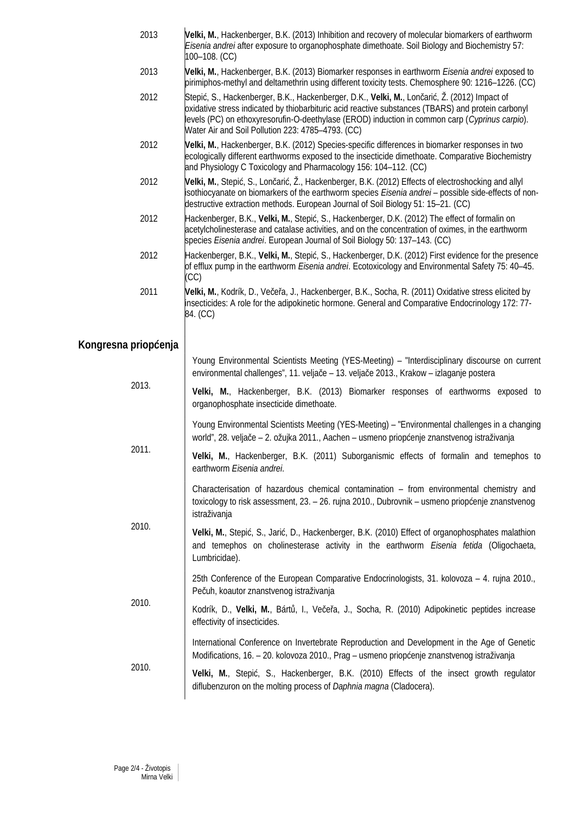- 2013 **Velki, M.**, Hackenberger, B.K. (2013) Inhibition and recovery of molecular biomarkers of earthworm *Eisenia andrei* after exposure to organophosphate dimethoate. Soil Biology and Biochemistry 57: 100–108. (CC)
- 2013 **Velki, M.**, Hackenberger, B.K. (2013) Biomarker responses in earthworm *Eisenia andrei* exposed to pirimiphos-methyl and deltamethrin using different toxicity tests. Chemosphere 90: 1216–1226. (CC)
- 2012 Stepić, S., Hackenberger, B.K., Hackenberger, D.K., **Velki, M.**, Lončarić, Ž. (2012) Impact of oxidative stress indicated by thiobarbituric acid reactive substances (TBARS) and protein carbonyl levels (PC) on ethoxyresorufin-O-deethylase (EROD) induction in common carp (*Cyprinus carpio*). Water Air and Soil Pollution 223: 4785–4793. (CC)
- 2012 **Velki, M.**, Hackenberger, B.K. (2012) Species-specific differences in biomarker responses in two ecologically different earthworms exposed to the insecticide dimethoate. Comparative Biochemistry and Physiology C Toxicology and Pharmacology 156: 104–112. (CC)
- 2012 **Velki, M.**, Stepić, S., Lončarić, Ž., Hackenberger, B.K. (2012) Effects of electroshocking and allyl isothiocyanate on biomarkers of the earthworm species *Eisenia andrei* – possible side-effects of nondestructive extraction methods. European Journal of Soil Biology 51: 15–21. (CC)
- 2012 Hackenberger, B.K., **Velki, M.**, Stepić, S., Hackenberger, D.K. (2012) The effect of formalin on acetylcholinesterase and catalase activities, and on the concentration of oximes, in the earthworm species *Eisenia andrei*. European Journal of Soil Biology 50: 137–143. (CC)
- 2012 Hackenberger, B.K., **Velki, M.**, Stepić, S., Hackenberger, D.K. (2012) First evidence for the presence of efflux pump in the earthworm *Eisenia andrei*. Ecotoxicology and Environmental Safety 75: 40–45. (CC)
- 2011 **Velki, M.**, Kodrík, D., Večeřa, J., Hackenberger, B.K., Socha, R. (2011) Oxidative stress elicited by insecticides: A role for the adipokinetic hormone. General and Comparative Endocrinology 172: 77- 84. (CC)

#### **Kongresna priopćenja**

| 2013. | Young Environmental Scientists Meeting (YES-Meeting) – "Interdisciplinary discourse on current<br>environmental challenges", 11. veljače - 13. veljače 2013., Krakow - izlaganje postera                   |
|-------|------------------------------------------------------------------------------------------------------------------------------------------------------------------------------------------------------------|
|       | Velki, M., Hackenberger, B.K. (2013) Biomarker responses of earthworms exposed to<br>organophosphate insecticide dimethoate.                                                                               |
| 2011. | Young Environmental Scientists Meeting (YES-Meeting) – "Environmental challenges in a changing<br>world", 28. veljače – 2. ožujka 2011., Aachen – usmeno priopćenje znanstvenog istraživanja               |
|       | Velki, M., Hackenberger, B.K. (2011) Suborganismic effects of formalin and temephos to<br>earthworm Eisenia andrei.                                                                                        |
| 2010. | Characterisation of hazardous chemical contamination – from environmental chemistry and<br>toxicology to risk assessment, 23. - 26. rujna 2010., Dubrovnik - usmeno priopćenje znanstvenog<br>istraživanja |
|       | Velki, M., Stepić, S., Jarić, D., Hackenberger, B.K. (2010) Effect of organophosphates malathion<br>and temephos on cholinesterase activity in the earthworm Eisenia fetida (Oligochaeta,<br>Lumbricidae). |
| 2010. | 25th Conference of the European Comparative Endocrinologists, 31. kolovoza $-4$ . rujna 2010.,<br>Pečuh, koautor znanstvenog istraživanja                                                                  |
|       | Kodrík, D., Velki, M., Bártů, I., Večeřa, J., Socha, R. (2010) Adipokinetic peptides increase<br>effectivity of insecticides.                                                                              |
| 2010. | International Conference on Invertebrate Reproduction and Development in the Age of Genetic<br>Modifications, 16. – 20. kolovoza 2010., Prag – usmeno priopćenje znanstvenog istraživanja                  |
|       | Velki, M., Stepić, S., Hackenberger, B.K. (2010) Effects of the insect growth regulator<br>diflubenzuron on the molting process of Daphnia magna (Cladocera).                                              |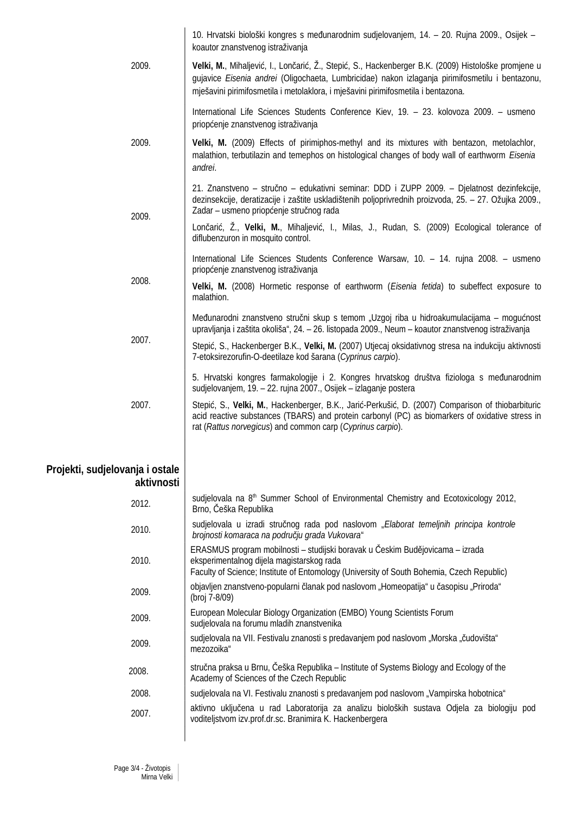|                                               | 10. Hrvatski biološki kongres s međunarodnim sudjelovanjem, 14. - 20. Rujna 2009., Osijek -<br>koautor znanstvenog istraživanja                                                                                                                                                             |
|-----------------------------------------------|---------------------------------------------------------------------------------------------------------------------------------------------------------------------------------------------------------------------------------------------------------------------------------------------|
| 2009.                                         | Velki, M., Mihaljević, I., Lončarić, Ž., Stepić, S., Hackenberger B.K. (2009) Histološke promjene u<br>gujavice Eisenia andrei (Oligochaeta, Lumbricidae) nakon izlaganja pirimifosmetilu i bentazonu,<br>mješavini pirimifosmetila i metolaklora, i mješavini pirimifosmetila i bentazona. |
|                                               | International Life Sciences Students Conference Kiev, 19. - 23. kolovoza 2009. - usmeno<br>priopćenje znanstvenog istraživanja                                                                                                                                                              |
| 2009.                                         | Velki, M. (2009) Effects of pirimiphos-methyl and its mixtures with bentazon, metolachlor,<br>malathion, terbutilazin and temephos on histological changes of body wall of earthworm Eisenia<br>andrei.                                                                                     |
| 2009.                                         | 21. Znanstveno – stručno – edukativni seminar: DDD i ZUPP 2009. – Djelatnost dezinfekcije,<br>dezinsekcije, deratizacije i zaštite uskladištenih poljoprivrednih proizvoda, 25. – 27. Ožujka 2009.,<br>Zadar – usmeno priopćenje stručnog rada                                              |
|                                               | Lončarić, Ž., Velki, M., Mihaljević, I., Milas, J., Rudan, S. (2009) Ecological tolerance of<br>diflubenzuron in mosquito control.                                                                                                                                                          |
| 2008.                                         | International Life Sciences Students Conference Warsaw, 10. - 14. rujna 2008. - usmeno<br>priopćenje znanstvenog istraživanja                                                                                                                                                               |
|                                               | Velki, M. (2008) Hormetic response of earthworm (Eisenia fetida) to subeffect exposure to<br>malathion.                                                                                                                                                                                     |
|                                               | Međunarodni znanstveno stručni skup s temom "Uzgoj riba u hidroakumulacijama – mogućnost<br>upravljanja i zaštita okoliša", 24. – 26. listopada 2009., Neum – koautor znanstvenog istraživanja                                                                                              |
| 2007.                                         | Stepić, S., Hackenberger B.K., Velki, M. (2007) Utjecaj oksidativnog stresa na indukciju aktivnosti<br>7-etoksirezorufin-O-deetilaze kod šarana (Cyprinus carpio).                                                                                                                          |
|                                               | 5. Hrvatski kongres farmakologije i 2. Kongres hrvatskog društva fiziologa s međunarodnim<br>sudjelovanjem, 19. – 22. rujna 2007., Osijek – izlaganje postera                                                                                                                               |
| 2007.                                         | Stepić, S., Velki, M., Hackenberger, B.K., Jarić-Perkušić, D. (2007) Comparison of thiobarbituric<br>acid reactive substances (TBARS) and protein carbonyl (PC) as biomarkers of oxidative stress in<br>rat (Rattus norvegicus) and common carp (Cyprinus carpio).                          |
| Projekti, sudjelovanja i ostale<br>aktivnosti |                                                                                                                                                                                                                                                                                             |
| 2012.                                         | sudjelovala na 8 <sup>th</sup> Summer School of Environmental Chemistry and Ecotoxicology 2012,<br>Brno, Češka Republika                                                                                                                                                                    |
| 2010.                                         | sudjelovala u izradi stručnog rada pod naslovom "Elaborat temeljnih principa kontrole<br>brojnosti komaraca na području grada Vukovara"                                                                                                                                                     |
| 2010.                                         | ERASMUS program mobilnosti – studijski boravak u Českim Budějovicama – izrada<br>eksperimentalnog dijela magistarskog rada<br>Faculty of Science; Institute of Entomology (University of South Bohemia, Czech Republic)                                                                     |
| 2009.                                         | objavljen znanstveno-popularni članak pod naslovom "Homeopatija" u časopisu "Priroda"<br>(broj 7-8/09)                                                                                                                                                                                      |
| 2009.                                         | European Molecular Biology Organization (EMBO) Young Scientists Forum<br>sudjelovala na forumu mladih znanstvenika                                                                                                                                                                          |
| 2009.                                         | sudjelovala na VII. Festivalu znanosti s predavanjem pod naslovom "Morska "čudovišta"<br>mezozoika"                                                                                                                                                                                         |
| 2008.                                         | stručna praksa u Brnu, Češka Republika – Institute of Systems Biology and Ecology of the<br>Academy of Sciences of the Czech Republic                                                                                                                                                       |
| 2008.                                         | sudjelovala na VI. Festivalu znanosti s predavanjem pod naslovom "Vampirska hobotnica"                                                                                                                                                                                                      |
| 2007.                                         | aktivno uključena u rad Laboratorija za analizu bioloških sustava Odjela za biologiju pod<br>voditeljstvom izv.prof.dr.sc. Branimira K. Hackenbergera                                                                                                                                       |
|                                               |                                                                                                                                                                                                                                                                                             |